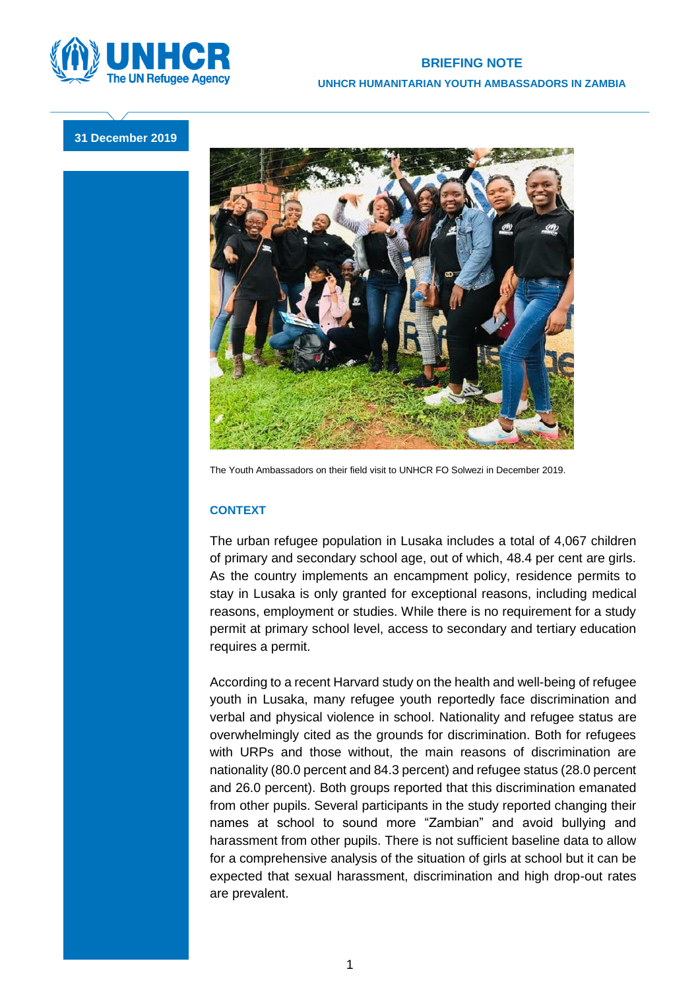

## **31 December 2019**



The Youth Ambassadors on their field visit to UNHCR FO Solwezi in December 2019.

## **CONTEXT**

The urban refugee population in Lusaka includes a total of 4,067 children of primary and secondary school age, out of which, 48.4 per cent are girls. As the country implements an encampment policy, residence permits to stay in Lusaka is only granted for exceptional reasons, including medical reasons, employment or studies. While there is no requirement for a study permit at primary school level, access to secondary and tertiary education requires a permit.

According to a recent Harvard study on the health and well-being of refugee youth in Lusaka, many refugee youth reportedly face discrimination and verbal and physical violence in school. Nationality and refugee status are overwhelmingly cited as the grounds for discrimination. Both for refugees with URPs and those without, the main reasons of discrimination are nationality (80.0 percent and 84.3 percent) and refugee status (28.0 percent and 26.0 percent). Both groups reported that this discrimination emanated from other pupils. Several participants in the study reported changing their names at school to sound more "Zambian" and avoid bullying and harassment from other pupils. There is not sufficient baseline data to allow for a comprehensive analysis of the situation of girls at school but it can be expected that sexual harassment, discrimination and high drop-out rates are prevalent.